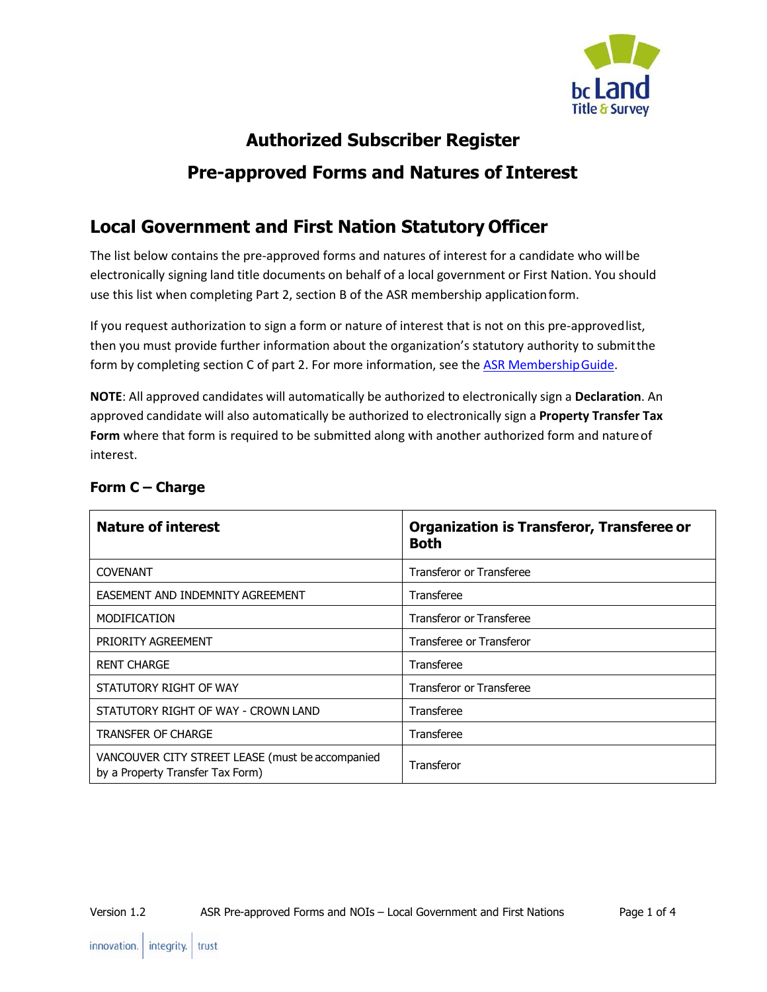

# **Authorized Subscriber Register Pre-approved Forms and Natures of Interest**

## **Local Government and First Nation Statutory Officer**

The list below contains the pre-approved forms and natures of interest for a candidate who willbe electronically signing land title documents on behalf of a local government or First Nation. You should use this list when completing Part 2, section B of the ASR membership applicationform.

If you request authorization to sign a form or nature of interest that is not on this pre-approvedlist, then you must provide further information about the organization's statutory authority to submitthe form by completing section C of part 2. For more information, see the ASR Membership Guide.

**NOTE**: All approved candidates will automatically be authorized to electronically sign a **Declaration**. An approved candidate will also automatically be authorized to electronically sign a **Property Transfer Tax Form** where that form is required to be submitted along with another authorized form and natureof interest.

| <b>Nature of interest</b>                                                            | <b>Organization is Transferor, Transferee or</b><br><b>Both</b> |
|--------------------------------------------------------------------------------------|-----------------------------------------------------------------|
| <b>COVENANT</b>                                                                      | <b>Transferor or Transferee</b>                                 |
| EASEMENT AND INDEMNITY AGREEMENT                                                     | Transferee                                                      |
| <b>MODIFICATION</b>                                                                  | <b>Transferor or Transferee</b>                                 |
| PRIORITY AGREEMENT                                                                   | Transferee or Transferor                                        |
| <b>RENT CHARGE</b>                                                                   | Transferee                                                      |
| STATUTORY RIGHT OF WAY                                                               | <b>Transferor or Transferee</b>                                 |
| STATUTORY RIGHT OF WAY - CROWN LAND                                                  | Transferee                                                      |
| <b>TRANSFER OF CHARGE</b>                                                            | Transferee                                                      |
| VANCOUVER CITY STREET LEASE (must be accompanied<br>by a Property Transfer Tax Form) | Transferor                                                      |

#### **Form C – Charge**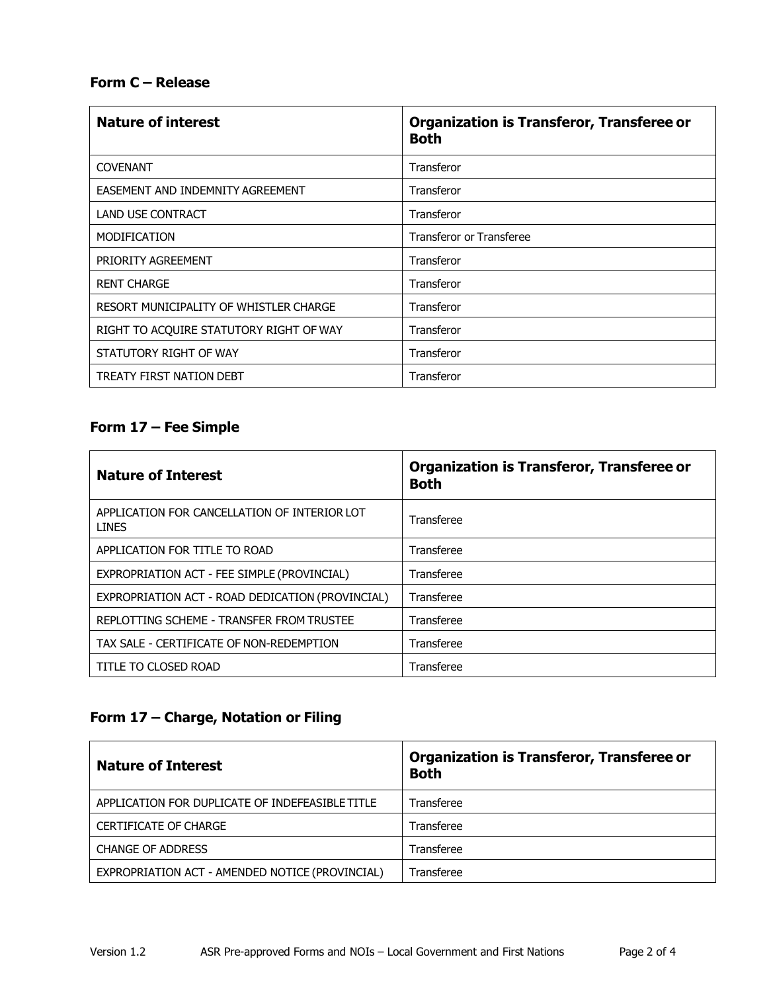#### **Form C – Release**

| <b>Nature of interest</b>               | <b>Organization is Transferor, Transferee or</b><br><b>Both</b> |
|-----------------------------------------|-----------------------------------------------------------------|
| <b>COVENANT</b>                         | Transferor                                                      |
| EASEMENT AND INDEMNITY AGREEMENT        | Transferor                                                      |
| <b>LAND USE CONTRACT</b>                | Transferor                                                      |
| <b>MODIFICATION</b>                     | <b>Transferor or Transferee</b>                                 |
| PRIORITY AGREEMENT                      | Transferor                                                      |
| <b>RENT CHARGE</b>                      | Transferor                                                      |
| RESORT MUNICIPALITY OF WHISTLER CHARGE  | Transferor                                                      |
| RIGHT TO ACQUIRE STATUTORY RIGHT OF WAY | Transferor                                                      |
| STATUTORY RIGHT OF WAY                  | <b>Transferor</b>                                               |
| TREATY FIRST NATION DEBT                | Transferor                                                      |

#### **Form 17 – Fee Simple**

| <b>Nature of Interest</b>                                    | <b>Organization is Transferor, Transferee or</b><br><b>Both</b> |
|--------------------------------------------------------------|-----------------------------------------------------------------|
| APPLICATION FOR CANCELLATION OF INTERIOR LOT<br><b>LINES</b> | Transferee                                                      |
| APPLICATION FOR TITLE TO ROAD                                | Transferee                                                      |
| EXPROPRIATION ACT - FEE SIMPLE (PROVINCIAL)                  | Transferee                                                      |
| EXPROPRIATION ACT - ROAD DEDICATION (PROVINCIAL)             | Transferee                                                      |
| REPLOTTING SCHEME - TRANSFER FROM TRUSTEE                    | Transferee                                                      |
| TAX SALE - CERTIFICATE OF NON-REDEMPTION                     | Transferee                                                      |
| TITLE TO CLOSED ROAD                                         | Transferee                                                      |

#### **Form 17 – Charge, Notation or Filing**

| <b>Nature of Interest</b>                       | <b>Organization is Transferor, Transferee or</b><br><b>Both</b> |
|-------------------------------------------------|-----------------------------------------------------------------|
| APPLICATION FOR DUPLICATE OF INDEFEASIBLE TITLE | Transferee                                                      |
| <b>CERTIFICATE OF CHARGE</b>                    | Transferee                                                      |
| <b>CHANGE OF ADDRESS</b>                        | Transferee                                                      |
| EXPROPRIATION ACT - AMENDED NOTICE (PROVINCIAL) | Transferee                                                      |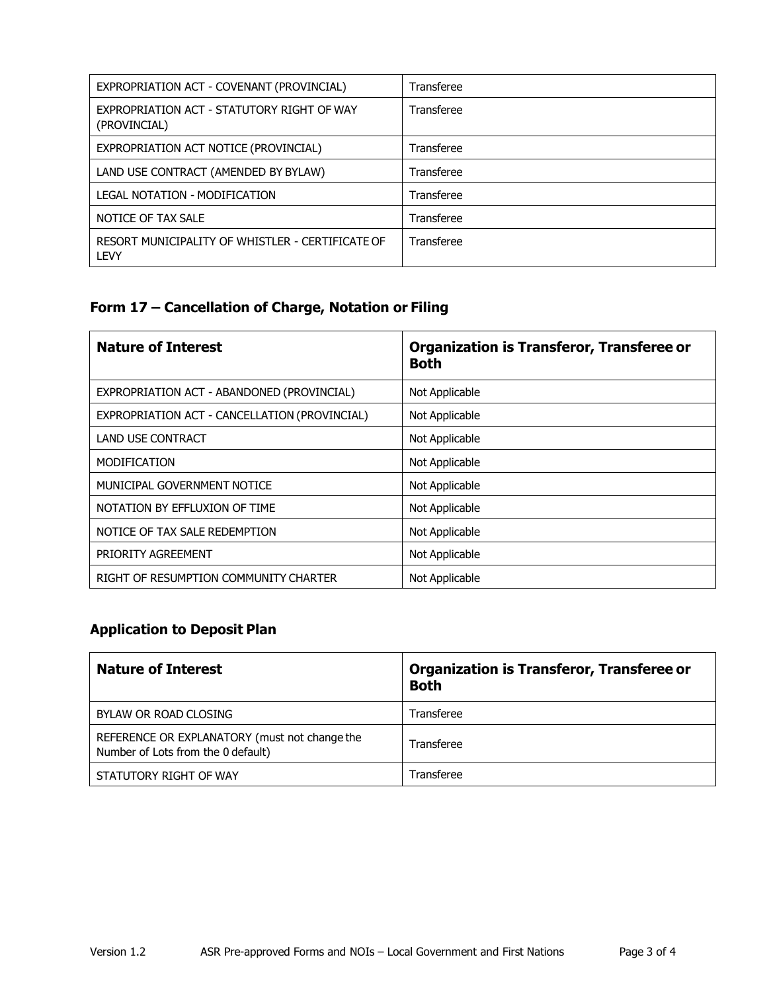| EXPROPRIATION ACT - COVENANT (PROVINCIAL)                  | Transferee |
|------------------------------------------------------------|------------|
| EXPROPRIATION ACT - STATUTORY RIGHT OF WAY<br>(PROVINCIAL) | Transferee |
| EXPROPRIATION ACT NOTICE (PROVINCIAL)                      | Transferee |
| LAND USE CONTRACT (AMENDED BY BYLAW)                       | Transferee |
| LEGAL NOTATION - MODIFICATION                              | Transferee |
| NOTICE OF TAX SALE                                         | Transferee |
| RESORT MUNICIPALITY OF WHISTLER - CERTIFICATE OF<br>LEVY   | Transferee |

## **Form 17 – Cancellation of Charge, Notation or Filing**

| <b>Nature of Interest</b>                     | <b>Organization is Transferor, Transferee or</b><br><b>Both</b> |
|-----------------------------------------------|-----------------------------------------------------------------|
| EXPROPRIATION ACT - ABANDONED (PROVINCIAL)    | Not Applicable                                                  |
| EXPROPRIATION ACT - CANCELLATION (PROVINCIAL) | Not Applicable                                                  |
| <b>LAND USE CONTRACT</b>                      | Not Applicable                                                  |
| <b>MODIFICATION</b>                           | Not Applicable                                                  |
| MUNICIPAL GOVERNMENT NOTICE                   | Not Applicable                                                  |
| NOTATION BY EFFLUXION OF TIME                 | Not Applicable                                                  |
| NOTICE OF TAX SALE REDEMPTION                 | Not Applicable                                                  |
| PRIORITY AGREEMENT                            | Not Applicable                                                  |
| RIGHT OF RESUMPTION COMMUNITY CHARTER         | Not Applicable                                                  |

#### **Application to Deposit Plan**

| <b>Nature of Interest</b>                                                           | <b>Organization is Transferor, Transferee or</b><br><b>Both</b> |
|-------------------------------------------------------------------------------------|-----------------------------------------------------------------|
| BYLAW OR ROAD CLOSING                                                               | Transferee                                                      |
| REFERENCE OR EXPLANATORY (must not change the<br>Number of Lots from the 0 default) | Transferee                                                      |
| STATUTORY RIGHT OF WAY                                                              | Transferee                                                      |